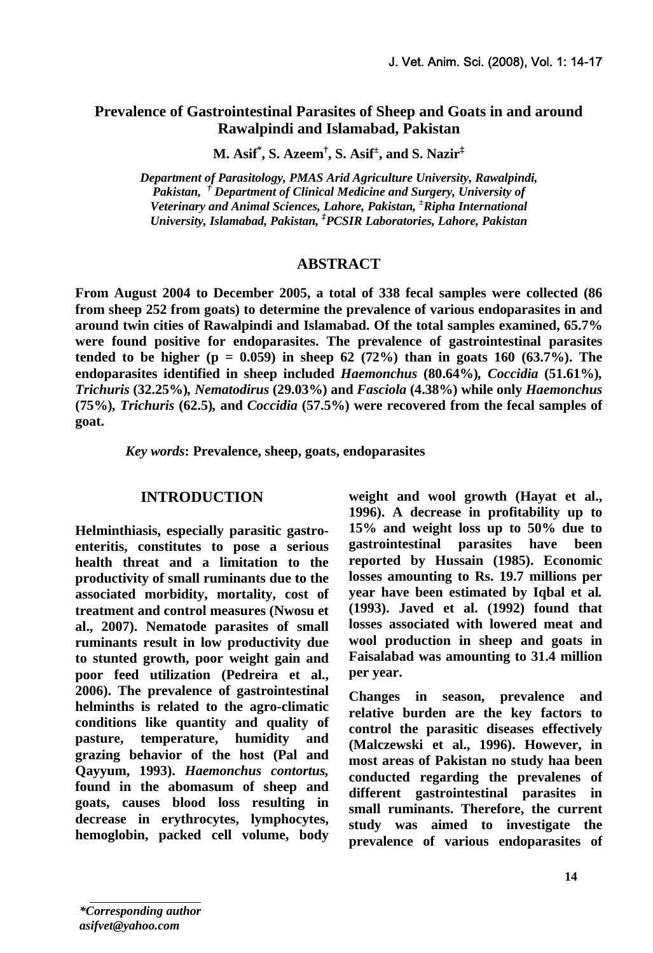# **Prevalence of Gastrointestinal Parasites of Sheep and Goats in and around Rawalpindi and Islamabad, Pakistan**

**M. Asif\* , S. Azeem† , S. Asif± , and S. Nazir‡** 

*Department of Parasitology, PMAS Arid Agriculture University, Rawalpindi, Pakistan, † Department of Clinical Medicine and Surgery, University of Veterinary and Animal Sciences, Lahore, Pakistan, ± Ripha International University, Islamabad, Pakistan, ‡ PCSIR Laboratories, Lahore, Pakistan* 

#### **ABSTRACT**

**From August 2004 to December 2005, a total of 338 fecal samples were collected (86 from sheep 252 from goats) to determine the prevalence of various endoparasites in and around twin cities of Rawalpindi and Islamabad. Of the total samples examined, 65.7% were found positive for endoparasites. The prevalence of gastrointestinal parasites tended to be higher (p = 0.059) in sheep 62 (72%) than in goats 160 (63.7%). The endoparasites identified in sheep included** *Haemonchus* **(80.64%)***, Coccidia* **(51.61%)***, Trichuris* **(32.25%)***, Nematodirus* **(29.03%) and** *Fasciola* **(4.38%) while only** *Haemonchus*  **(75%)***, Trichuris* **(62.5)***,* **and** *Coccidia* **(57.5%) were recovered from the fecal samples of goat.** 

*Key words***: Prevalence, sheep, goats, endoparasites** 

#### **INTRODUCTION**

**Helminthiasis, especially parasitic gastroenteritis, constitutes to pose a serious health threat and a limitation to the productivity of small ruminants due to the associated morbidity, mortality, cost of treatment and control measures (Nwosu et al., 2007). Nematode parasites of small ruminants result in low productivity due to stunted growth, poor weight gain and poor feed utilization (Pedreira et al., 2006). The prevalence of gastrointestinal helminths is related to the agro-climatic conditions like quantity and quality of pasture, temperature, humidity and grazing behavior of the host (Pal and Qayyum, 1993).** *Haemonchus contortus,* **found in the abomasum of sheep and goats, causes blood loss resulting in decrease in erythrocytes, lymphocytes, hemoglobin, packed cell volume, body**  **weight and wool growth (Hayat et al., 1996). A decrease in profitability up to 15% and weight loss up to 50% due to gastrointestinal parasites have been reported by Hussain (1985). Economic losses amounting to Rs. 19.7 millions per year have been estimated by Iqbal et al***.* **(1993). Javed et al. (1992) found that losses associated with lowered meat and wool production in sheep and goats in Faisalabad was amounting to 31.4 million per year.** 

**Changes in season, prevalence and relative burden are the key factors to control the parasitic diseases effectively (Malczewski et al., 1996). However, in most areas of Pakistan no study haa been conducted regarding the prevalenes of different gastrointestinal parasites in small ruminants. Therefore, the current study was aimed to investigate the prevalence of various endoparasites of**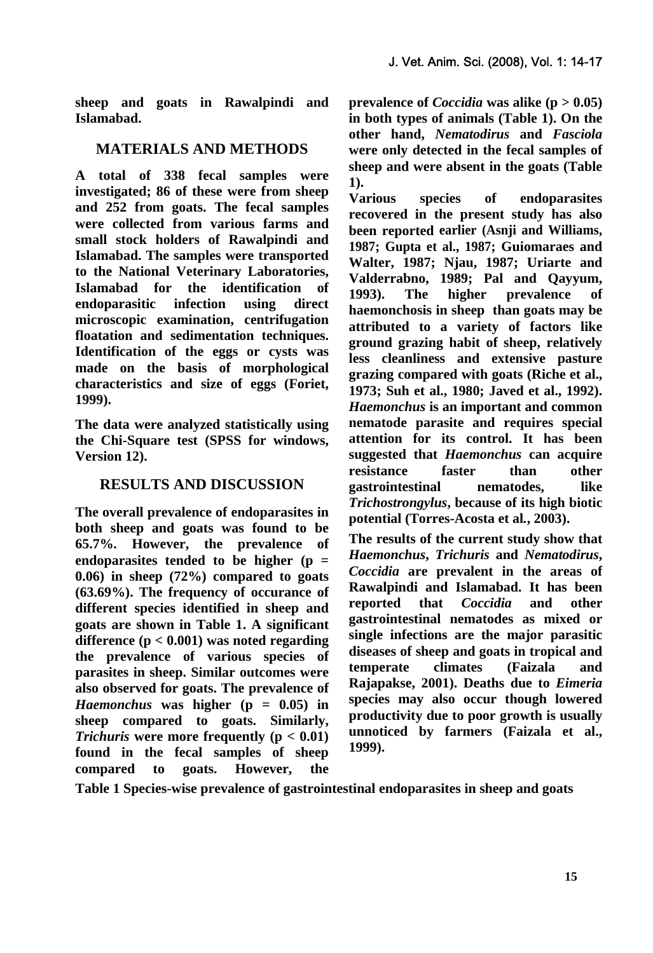**sheep and goats in Rawalpindi and Islamabad.** 

## **MATERIALS AND METHODS**

**A total of 338 fecal samples were investigated; 86 of these were from sheep and 252 from goats. The fecal samples were collected from various farms and small stock holders of Rawalpindi and Islamabad. The samples were transported to the National Veterinary Laboratories, Islamabad for the identification of endoparasitic infection using direct microscopic examination, centrifugation floatation and sedimentation techniques. Identification of the eggs or cysts was made on the basis of morphological characteristics and size of eggs (Foriet, 1999).** 

**The data were analyzed statistically using the Chi-Square test (SPSS for windows, Version 12).** 

## **RESULTS AND DISCUSSION**

**The overall prevalence of endoparasites in both sheep and goats was found to be 65.7%. However, the prevalence of endoparasites tended to be higher (p = 0.06) in sheep (72%) compared to goats (63.69%). The frequency of occurance of different species identified in sheep and goats are shown in Table 1. A significant difference (p < 0.001) was noted regarding the prevalence of various species of parasites in sheep. Similar outcomes were also observed for goats. The prevalence of**  *Haemonchus* **was higher (p = 0.05) in sheep compared to goats. Similarly,**  *Trichuris* **were more frequently (p < 0.01) found in the fecal samples of sheep compared to goats. However, the**  **prevalence of** *Coccidia* **was alike (p > 0.05) in both types of animals (Table 1). On the other hand,** *Nematodirus* **and** *Fasciola* **were only detected in the fecal samples of sheep and were absent in the goats (Table 1).** 

**Various species of endoparasites recovered in the present study has also been reported earlier (Asnji and Williams, 1987; Gupta et al., 1987; Guiomaraes and Walter, 1987; Njau, 1987; Uriarte and Valderrabno, 1989; Pal and Qayyum, 1993). The higher prevalence of haemonchosis in sheep than goats may be attributed to a variety of factors like ground grazing habit of sheep, relatively less cleanliness and extensive pasture grazing compared with goats (Riche et al., 1973; Suh et al., 1980; Javed et al., 1992).** *Haemonchus* **is an important and common nematode parasite and requires special attention for its control. It has been suggested that** *Haemonchus* **can acquire resistance faster than other gastrointestinal nematodes, like**  *Trichostrongylus***, because of its high biotic potential (Torres-Acosta et al***.***, 2003).** 

**The results of the current study show that**  *Haemonchus***,** *Trichuris* **and** *Nematodirus***,**  *Coccidia* **are prevalent in the areas of Rawalpindi and Islamabad. It has been reported that** *Coccidia* **and other gastrointestinal nematodes as mixed or single infections are the major parasitic diseases of sheep and goats in tropical and temperate climates (Faizala and Rajapakse, 2001). Deaths due to** *Eimeria* **species may also occur though lowered productivity due to poor growth is usually unnoticed by farmers (Faizala et al., 1999).** 

**Table 1 Species-wise prevalence of gastrointestinal endoparasites in sheep and goats**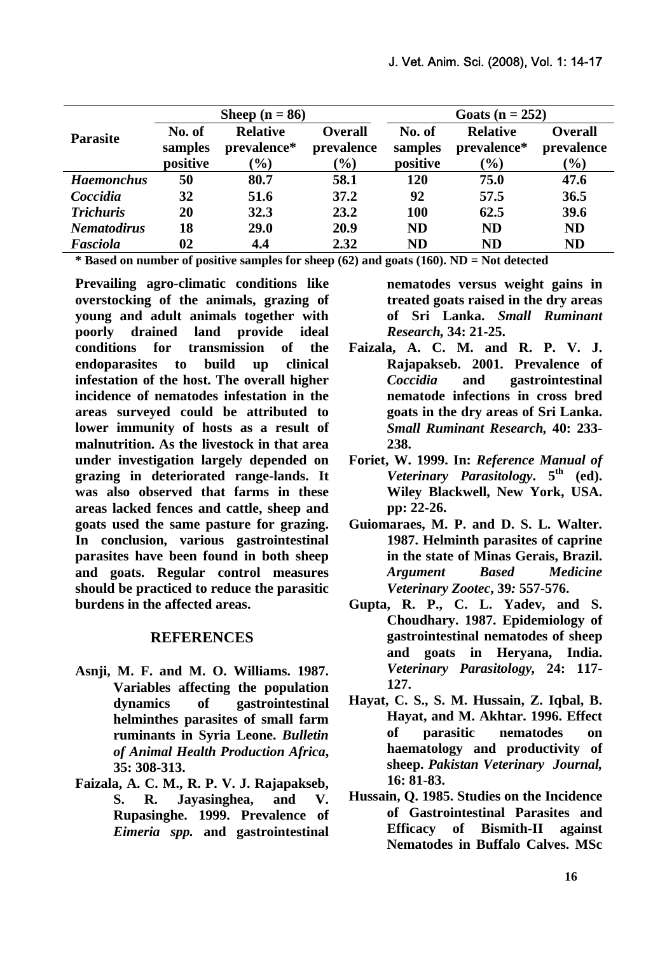| <b>Parasite</b>    | Sheep $(n = 86)$              |                                                    |                                               | Goats ( $n = 252$ )           |                                          |                                               |
|--------------------|-------------------------------|----------------------------------------------------|-----------------------------------------------|-------------------------------|------------------------------------------|-----------------------------------------------|
|                    | No. of<br>samples<br>positive | <b>Relative</b><br>prevalence*<br>$\mathcal{O}(0)$ | <b>Overall</b><br>prevalence<br>$\frac{9}{0}$ | No. of<br>samples<br>positive | <b>Relative</b><br>prevalence*<br>$(\%)$ | <b>Overall</b><br>prevalence<br>$\frac{1}{2}$ |
| <b>Haemonchus</b>  | 50                            | 80.7                                               | 58.1                                          | 120                           | 75.0                                     | 47.6                                          |
| Coccidia           | 32                            | 51.6                                               | 37.2                                          | 92                            | 57.5                                     | 36.5                                          |
| <b>Trichuris</b>   | 20                            | 32.3                                               | 23.2                                          | 100                           | 62.5                                     | 39.6                                          |
| <b>Nematodirus</b> | 18                            | <b>29.0</b>                                        | 20.9                                          | <b>ND</b>                     | <b>ND</b>                                | <b>ND</b>                                     |
| Fasciola           | 02                            | 4.4                                                | 2.32                                          | ND                            | <b>ND</b>                                | <b>ND</b>                                     |

**\* Based on number of positive samples for sheep (62) and goats (160). ND = Not detected** 

**Prevailing agro-climatic conditions like overstocking of the animals, grazing of young and adult animals together with poorly drained land provide ideal conditions for transmission of the endoparasites to build up clinical infestation of the host. The overall higher incidence of nematodes infestation in the areas surveyed could be attributed to lower immunity of hosts as a result of malnutrition. As the livestock in that area under investigation largely depended on grazing in deteriorated range-lands. It was also observed that farms in these areas lacked fences and cattle, sheep and goats used the same pasture for grazing. In conclusion, various gastrointestinal parasites have been found in both sheep and goats. Regular control measures should be practiced to reduce the parasitic burdens in the affected areas.** 

#### **REFERENCES**

- **Asnji, M. F. and M. O. Williams. 1987. Variables affecting the population dynamics of gastrointestinal helminthes parasites of small farm ruminants in Syria Leone.** *Bulletin of Animal Health Production Africa***, 35: 308-313.**
- **Faizala, A. C. M., R. P. V. J. Rajapakseb, S. R. Jayasinghea, and V. Rupasinghe. 1999. Prevalence of**  *Eimeria spp.* **and gastrointestinal**

**nematodes versus weight gains in treated goats raised in the dry areas of Sri Lanka.** *Small Ruminant Research,* **34: 21-25.** 

- **Faizala, A. C. M. and R. P. V. J. Rajapakseb. 2001. Prevalence of**  *Coccidia* **and gastrointestinal nematode infections in cross bred goats in the dry areas of Sri Lanka.**  *Small Ruminant Research,* **40: 233- 238.**
- **Foriet, W. 1999. In:** *Reference Manual of Veterinary Parasitology***.**  $5^{\text{th}}$  (ed). **Wiley Blackwell, New York, USA. pp: 22-26.**
- **Guiomaraes, M. P. and D. S. L. Walter. 1987. Helminth parasites of caprine in the state of Minas Gerais, Brazil.**  *Argument Based Medicine Veterinary Zootec***, 39***:* **557-576.**
- **Gupta, R. P., C. L. Yadev, and S. Choudhary. 1987. Epidemiology of gastrointestinal nematodes of sheep and goats in Heryana, India.**  *Veterinary Parasitology,* **24: 117- 127.**
- **Hayat, C. S., S. M. Hussain, Z. Iqbal, B. Hayat, and M. Akhtar. 1996. Effect of parasitic nematodes on haematology and productivity of sheep.** *Pakistan Veterinary Journal,*  **16: 81-83.**
- **Hussain, Q. 1985. Studies on the Incidence of Gastrointestinal Parasites and Efficacy of Bismith-II against Nematodes in Buffalo Calves. MSc**